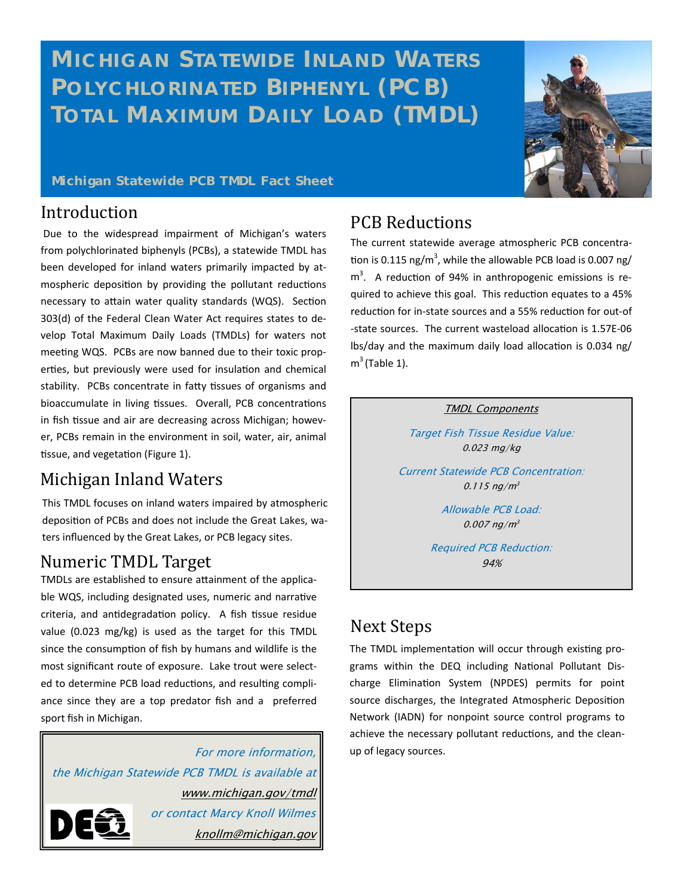# **MICHIGAN STATEWIDE INLAND WATERS POLYCHLORINATED BIPHENYL (PCB) TOTAL MAXIMUM DAILY LOAD (TMDL)**



#### **Michigan Statewide PCB TMDL Fact Sheet**

#### Introduction

 Due to the widespread impairment of Michigan's waters from polychlorinated biphenyls (PCBs), a statewide TMDL has been developed for inland waters primarily impacted by atmospheric deposition by providing the pollutant reductions necessary to attain water quality standards (WQS). Section 303(d) of the Federal Clean Water Act requires states to develop Total Maximum Daily Loads (TMDLs) for waters not meeting WQS. PCBs are now banned due to their toxic properties, but previously were used for insulation and chemical stability. PCBs concentrate in fatty tissues of organisms and bioaccumulate in living tissues. Overall, PCB concentrations in fish tissue and air are decreasing across Michigan; however, PCBs remain in the environment in soil, water, air, animal tissue, and vegetation (Figure 1).

### Michigan Inland Waters

This TMDL focuses on inland waters impaired by atmospheric deposition of PCBs and does not include the Great Lakes, waters influenced by the Great Lakes, or PCB legacy sites.

### Numeric TMDL Target

TMDLs are established to ensure attainment of the applicable WQS, including designated uses, numeric and narrative criteria, and antidegradation policy. A fish tissue residue value (0.023 mg/kg) is used as the target for this TMDL since the consumption of fish by humans and wildlife is the most significant route of exposure. Lake trout were selected to determine PCB load reductions, and resulting compliance since they are a top predator fish and a preferred sport fish in Michigan.

For more information, the Michigan Statewide PCB TMDL is available at www.michigan.gov/tmdl or contact Marcy Knoll Wilmes knollm@michigan.gov

## PCB Reductions

The current statewide average atmospheric PCB concentration is 0.115 ng/m<sup>3</sup>, while the allowable PCB load is 0.007 ng/  $m<sup>3</sup>$ . A reduction of 94% in anthropogenic emissions is required to achieve this goal. This reduction equates to a 45% reduction for in-state sources and a 55% reduction for out-of -state sources. The current wasteload allocation is 1.57E-06 lbs/day and the maximum daily load allocation is 0.034 ng/  $m<sup>3</sup>$  (Table 1).

#### TMDL Components

Target Fish Tissue Residue Value: 0.023 mg/kg

Current Statewide PCB Concentration:  $0.115$  ng/m<sup>3</sup>

> Allowable PCB Load:  $0.007$  ng/m<sup>3</sup>

Required PCB Reduction: 94%

### **Next Steps**

The TMDL implementation will occur through existing programs within the DEQ including National Pollutant Discharge Elimination System (NPDES) permits for point source discharges, the Integrated Atmospheric Deposition Network (IADN) for nonpoint source control programs to achieve the necessary pollutant reductions, and the cleanup of legacy sources.